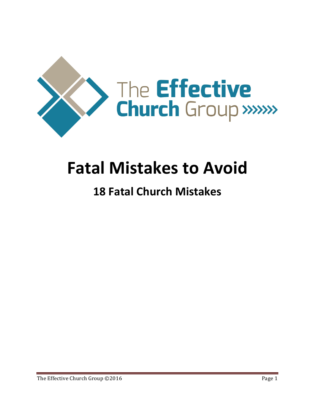

# **Fatal Mistakes to Avoid**

### **18 Fatal Church Mistakes**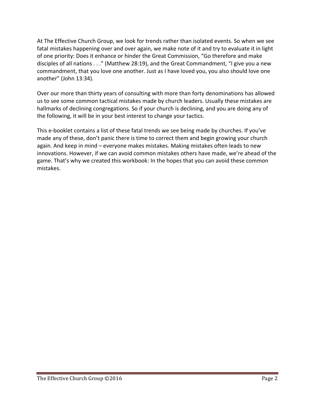At The Effective Church Group, we look for trends rather than isolated events. So when we see fatal mistakes happening over and over again, we make note of it and try to evaluate it in light of one priority: Does it enhance or hinder the Great Commission, "Go therefore and make disciples of all nations . . ." (Matthew 28:19), and the Great Commandment, "I give you a new commandment, that you love one another. Just as I have loved you, you also should love one another" (John 13:34).

Over our more than thirty years of consulting with more than forty denominations has allowed us to see some common tactical mistakes made by church leaders. Usually these mistakes are hallmarks of declining congregations. So if your church is declining, and you are doing any of the following, it will be in your best interest to change your tactics.

This e-booklet contains a list of these fatal trends we see being made by churches. If you've made any of these, don't panic there is time to correct them and begin growing your church again. And keep in mind – everyone makes mistakes. Making mistakes often leads to new innovations. However, if we can avoid common mistakes others have made, we're ahead of the game. That's why we created this workbook: In the hopes that you can avoid these common mistakes.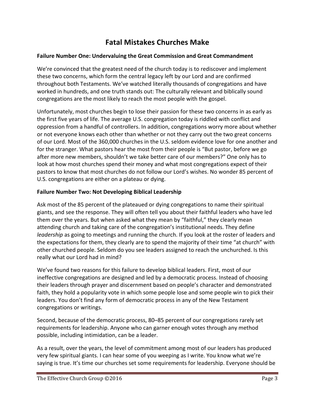#### **Fatal Mistakes Churches Make**

#### Failure Number One: Undervaluing the Great Commission and Great Commandment

We're convinced that the greatest need of the church today is to rediscover and implement these two concerns, which form the central legacy left by our Lord and are confirmed throughout both Testaments. We've watched literally thousands of congregations and have worked in hundreds, and one truth stands out: The culturally relevant and biblically sound congregations are the most likely to reach the most people with the gospel.

Unfortunately, most churches begin to lose their passion for these two concerns in as early as the first five years of life. The average U.S. congregation today is riddled with conflict and oppression from a handful of controllers. In addition, congregations worry more about whether or not everyone knows each other than whether or not they carry out the two great concerns of our Lord. Most of the 360,000 churches in the U.S. seldom evidence love for one another and for the stranger. What pastors hear the most from their people is "But pastor, before we go after more new members, shouldn't we take better care of our members?" One only has to look at how most churches spend their money and what most congregations expect of their pastors to know that most churches do not follow our Lord's wishes. No wonder 85 percent of U.S. congregations are either on a plateau or dying.

#### **Failure Number Two: Not Developing Biblical Leadership**

Ask most of the 85 percent of the plateaued or dying congregations to name their spiritual giants, and see the response. They will often tell you about their faithful leaders who have led them over the years. But when asked what they mean by "faithful," they clearly mean attending church and taking care of the congregation's institutional needs. They define *leadership* as going to meetings and running the church. If you look at the roster of leaders and the expectations for them, they clearly are to spend the majority of their time "at church" with other churched people. Seldom do you see leaders assigned to reach the unchurched. Is this really what our Lord had in mind?

We've found two reasons for this failure to develop biblical leaders. First, most of our ineffective congregations are designed and led by a democratic process. Instead of choosing their leaders through prayer and discernment based on people's character and demonstrated faith, they hold a popularity vote in which some people lose and some people win to pick their leaders. You don't find any form of democratic process in any of the New Testament congregations or writings.

Second, because of the democratic process, 80–85 percent of our congregations rarely set requirements for leadership. Anyone who can garner enough votes through any method possible, including intimidation, can be a leader.

As a result, over the years, the level of commitment among most of our leaders has produced very few spiritual giants. I can hear some of you weeping as I write. You know what we're saying is true. It's time our churches set some requirements for leadership. Everyone should be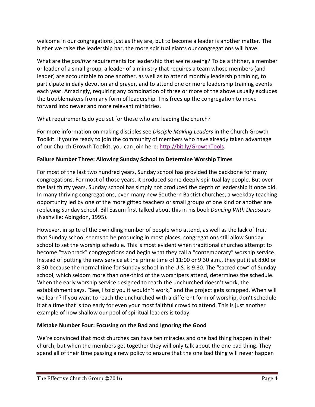welcome in our congregations just as they are, but to become a leader is another matter. The higher we raise the leadership bar, the more spiritual giants our congregations will have.

What are the *positive* requirements for leadership that we're seeing? To be a thither, a member or leader of a small group, a leader of a ministry that requires a team whose members (and leader) are accountable to one another, as well as to attend monthly leadership training, to participate in daily devotion and prayer, and to attend one or more leadership training events each year. Amazingly, requiring any combination of three or more of the above usually excludes the troublemakers from any form of leadership. This frees up the congregation to move forward into newer and more relevant ministries.

What requirements do you set for those who are leading the church?

For more information on making disciples see *Disciple Making Leaders* in the Church Growth Toolkit. If you're ready to join the community of members who have already taken advantage of our Church Growth Toolkit, you can join here: http://bit.ly/GrowthTools.

#### **Failure Number Three: Allowing Sunday School to Determine Worship Times**

For most of the last two hundred years, Sunday school has provided the backbone for many congregations. For most of those years, it produced some deeply spiritual lay people. But over the last thirty years, Sunday school has simply not produced the depth of leadership it once did. In many thriving congregations, even many new Southern Baptist churches, a weekday teaching opportunity led by one of the more gifted teachers or small groups of one kind or another are replacing Sunday school. Bill Easum first talked about this in his book *Dancing With Dinosaurs* (Nashville: Abingdon, 1995).

However, in spite of the dwindling number of people who attend, as well as the lack of fruit that Sunday school seems to be producing in most places, congregations still allow Sunday school to set the worship schedule. This is most evident when traditional churches attempt to become "two track" congregations and begin what they call a "contemporary" worship service. Instead of putting the new service at the prime time of 11:00 or 9:30 a.m., they put it at 8:00 or 8:30 because the normal time for Sunday school in the U.S. is 9:30. The "sacred cow" of Sunday school, which seldom more than one-third of the worshipers attend, determines the schedule. When the early worship service designed to reach the unchurched doesn't work, the establishment says, "See, I told you it wouldn't work," and the project gets scrapped. When will we learn? If you want to reach the unchurched with a different form of worship, don't schedule it at a time that is too early for even your most faithful crowd to attend. This is just another example of how shallow our pool of spiritual leaders is today.

#### **Mistake Number Four: Focusing on the Bad and Ignoring the Good**

We're convinced that most churches can have ten miracles and one bad thing happen in their church, but when the members get together they will only talk about the one bad thing. They spend all of their time passing a new policy to ensure that the one bad thing will never happen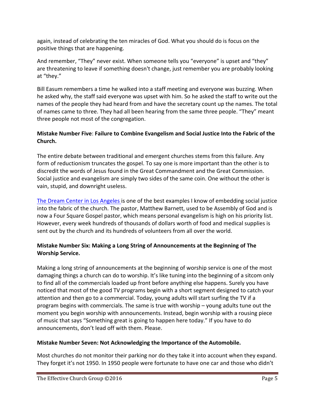again, instead of celebrating the ten miracles of God. What you should do is focus on the positive things that are happening.

And remember, "They" never exist. When someone tells you "everyone" is upset and "they" are threatening to leave if something doesn't change, just remember you are probably looking at "they."

Bill Easum remembers a time he walked into a staff meeting and everyone was buzzing. When he asked why, the staff said everyone was upset with him. So he asked the staff to write out the names of the people they had heard from and have the secretary count up the names. The total of names came to three. They had all been hearing from the same three people. "They" meant three people not most of the congregation.

#### **Mistake Number Five: Failure to Combine Evangelism and Social Justice Into the Fabric of the Church.**

The entire debate between traditional and emergent churches stems from this failure. Any form of reductionism truncates the gospel. To say one is more important than the other is to discredit the words of Jesus found in the Great Commandment and the Great Commission. Social justice and evangelism are simply two sides of the same coin. One without the other is vain, stupid, and downright useless.

The Dream Center in Los Angeles is one of the best examples I know of embedding social justice into the fabric of the church. The pastor, Matthew Barnett, used to be Assembly of God and is now a Four Square Gospel pastor, which means personal evangelism is high on his priority list. However, every week hundreds of thousands of dollars worth of food and medical supplies is sent out by the church and its hundreds of volunteers from all over the world.

#### **Mistake Number Six: Making a Long String of Announcements at the Beginning of The Worship Service.**

Making a long string of announcements at the beginning of worship service is one of the most damaging things a church can do to worship. It's like tuning into the beginning of a sitcom only to find all of the commercials loaded up front before anything else happens. Surely you have noticed that most of the good TV programs begin with a short segment designed to catch your attention and then go to a commercial. Today, young adults will start surfing the TV if a program begins with commercials. The same is true with worship  $-$  young adults tune out the moment you begin worship with announcements. Instead, begin worship with a rousing piece of music that says "Something great is going to happen here today." If you have to do announcements, don't lead off with them. Please.

#### **Mistake Number Seven: Not Acknowledging the Importance of the Automobile.**

Most churches do not monitor their parking nor do they take it into account when they expand. They forget it's not 1950. In 1950 people were fortunate to have one car and those who didn't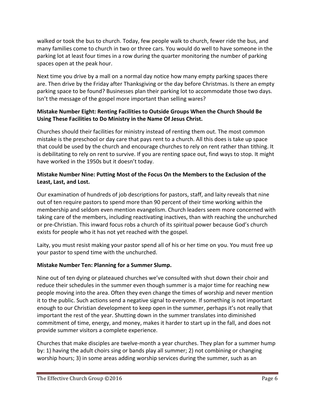walked or took the bus to church. Today, few people walk to church, fewer ride the bus, and many families come to church in two or three cars. You would do well to have someone in the parking lot at least four times in a row during the quarter monitoring the number of parking spaces open at the peak hour.

Next time you drive by a mall on a normal day notice how many empty parking spaces there are. Then drive by the Friday after Thanksgiving or the day before Christmas. Is there an empty parking space to be found? Businesses plan their parking lot to accommodate those two days. Isn't the message of the gospel more important than selling wares?

#### **Mistake Number Eight: Renting Facilities to Outside Groups When the Church Should Be** Using These Facilities to Do Ministry in the Name Of Jesus Christ.

Churches should their facilities for ministry instead of renting them out. The most common mistake is the preschool or day care that pays rent to a church. All this does is take up space that could be used by the church and encourage churches to rely on rent rather than tithing. It is debilitating to rely on rent to survive. If you are renting space out, find ways to stop. It might have worked in the 1950s but it doesn't today.

#### **Mistake Number Nine: Putting Most of the Focus On the Members to the Exclusion of the** Least, Last, and Lost.

Our examination of hundreds of job descriptions for pastors, staff, and laity reveals that nine out of ten require pastors to spend more than 90 percent of their time working within the membership and seldom even mention evangelism. Church leaders seem more concerned with taking care of the members, including reactivating inactives, than with reaching the unchurched or pre-Christian. This inward focus robs a church of its spiritual power because God's church exists for people who it has not yet reached with the gospel.

Laity, you must resist making your pastor spend all of his or her time on you. You must free up your pastor to spend time with the unchurched.

#### **Mistake Number Ten: Planning for a Summer Slump.**

Nine out of ten dying or plateaued churches we've consulted with shut down their choir and reduce their schedules in the summer even though summer is a major time for reaching new people moving into the area. Often they even change the times of worship and never mention it to the public. Such actions send a negative signal to everyone. If something is not important enough to our Christian development to keep open in the summer, perhaps it's not really that important the rest of the year. Shutting down in the summer translates into diminished commitment of time, energy, and money, makes it harder to start up in the fall, and does not provide summer visitors a complete experience.

Churches that make disciples are twelve-month a year churches. They plan for a summer hump by: 1) having the adult choirs sing or bands play all summer; 2) not combining or changing worship hours; 3) in some areas adding worship services during the summer, such as an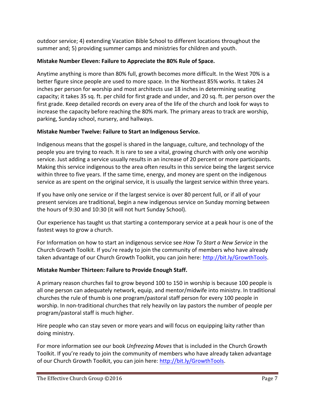outdoor service; 4) extending Vacation Bible School to different locations throughout the summer and; 5) providing summer camps and ministries for children and youth.

#### **Mistake Number Eleven: Failure to Appreciate the 80% Rule of Space.**

Anytime anything is more than 80% full, growth becomes more difficult. In the West 70% is a better figure since people are used to more space. In the Northeast 85% works. It takes 24 inches per person for worship and most architects use 18 inches in determining seating capacity; it takes 35 sq. ft. per child for first grade and under, and 20 sq. ft. per person over the first grade. Keep detailed records on every area of the life of the church and look for ways to increase the capacity before reaching the 80% mark. The primary areas to track are worship, parking, Sunday school, nursery, and hallways.

#### **Mistake Number Twelve: Failure to Start an Indigenous Service.**

Indigenous means that the gospel is shared in the language, culture, and technology of the people you are trying to reach. It is rare to see a vital, growing church with only one worship service. Just adding a service usually results in an increase of 20 percent or more participants. Making this service indigenous to the area often results in this service being the largest service within three to five years. If the same time, energy, and money are spent on the indigenous service as are spent on the original service, it is usually the largest service within three years.

If you have only one service or if the largest service is over 80 percent full, or if all of your present services are traditional, begin a new indigenous service on Sunday morning between the hours of 9:30 and 10:30 (it will not hurt Sunday School).

Our experience has taught us that starting a contemporary service at a peak hour is one of the fastest ways to grow a church.

For Information on how to start an indigenous service see *How To Start a New Service* in the Church Growth Toolkit. If you're ready to join the community of members who have already taken advantage of our Church Growth Toolkit, you can join here: http://bit.ly/GrowthTools.

#### **Mistake Number Thirteen: Failure to Provide Enough Staff.**

A primary reason churches fail to grow beyond 100 to 150 in worship is because 100 people is all one person can adequately network, equip, and mentor/midwife into ministry. In traditional churches the rule of thumb is one program/pastoral staff person for every 100 people in worship. In non-traditional churches that rely heavily on lay pastors the number of people per program/pastoral staff is much higher.

Hire people who can stay seven or more years and will focus on equipping laity rather than doing ministry.

For more information see our book *Unfreezing Moves* that is included in the Church Growth Toolkit. If you're ready to join the community of members who have already taken advantage of our Church Growth Toolkit, you can join here: http://bit.ly/GrowthTools.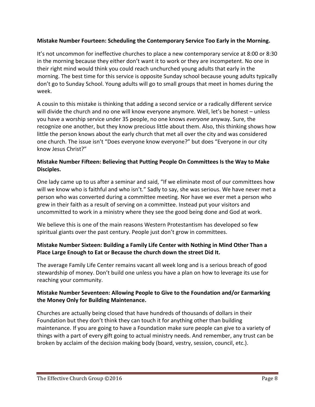#### **Mistake Number Fourteen: Scheduling the Contemporary Service Too Early in the Morning.**

It's not uncommon for ineffective churches to place a new contemporary service at 8:00 or 8:30 in the morning because they either don't want it to work or they are incompetent. No one in their right mind would think you could reach unchurched young adults that early in the morning. The best time for this service is opposite Sunday school because young adults typically don't go to Sunday School. Young adults will go to small groups that meet in homes during the week. 

A cousin to this mistake is thinking that adding a second service or a radically different service will divide the church and no one will know everyone anymore. Well, let's be honest – unless you have a worship service under 35 people, no one knows *everyone* anyway. Sure, the recognize one another, but they know precious little about them. Also, this thinking shows how little the person knows about the early church that met all over the city and was considered one church. The issue isn't "Does everyone know everyone?" but does "Everyone in our city know Jesus Christ?"

#### **Mistake Number Fifteen: Believing that Putting People On Committees Is the Way to Make Disciples.**

One lady came up to us after a seminar and said, "If we eliminate most of our committees how will we know who is faithful and who isn't." Sadly to say, she was serious. We have never met a person who was converted during a committee meeting. Nor have we ever met a person who grew in their faith as a result of serving on a committee. Instead put your visitors and uncommitted to work in a ministry where they see the good being done and God at work.

We believe this is one of the main reasons Western Protestantism has developed so few spiritual giants over the past century. People just don't grow in committees.

#### **Mistake Number Sixteen: Building a Family Life Center with Nothing in Mind Other Than a Place Large Enough to Eat or Because the church down the street Did It.**

The average Family Life Center remains vacant all week long and is a serious breach of good stewardship of money. Don't build one unless you have a plan on how to leverage its use for reaching your community.

#### **Mistake Number Seventeen: Allowing People to Give to the Foundation and/or Earmarking the Money Only for Building Maintenance.**

Churches are actually being closed that have hundreds of thousands of dollars in their Foundation but they don't think they can touch it for anything other than building maintenance. If you are going to have a Foundation make sure people can give to a variety of things with a part of every gift going to actual ministry needs. And remember, any trust can be broken by acclaim of the decision making body (board, vestry, session, council, etc.).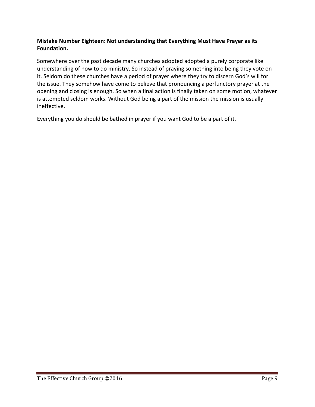#### **Mistake Number Eighteen: Not understanding that Everything Must Have Prayer as its Foundation.**

Somewhere over the past decade many churches adopted adopted a purely corporate like understanding of how to do ministry. So instead of praying something into being they vote on it. Seldom do these churches have a period of prayer where they try to discern God's will for the issue. They somehow have come to believe that pronouncing a perfunctory prayer at the opening and closing is enough. So when a final action is finally taken on some motion, whatever is attempted seldom works. Without God being a part of the mission the mission is usually ineffective.

Everything you do should be bathed in prayer if you want God to be a part of it.